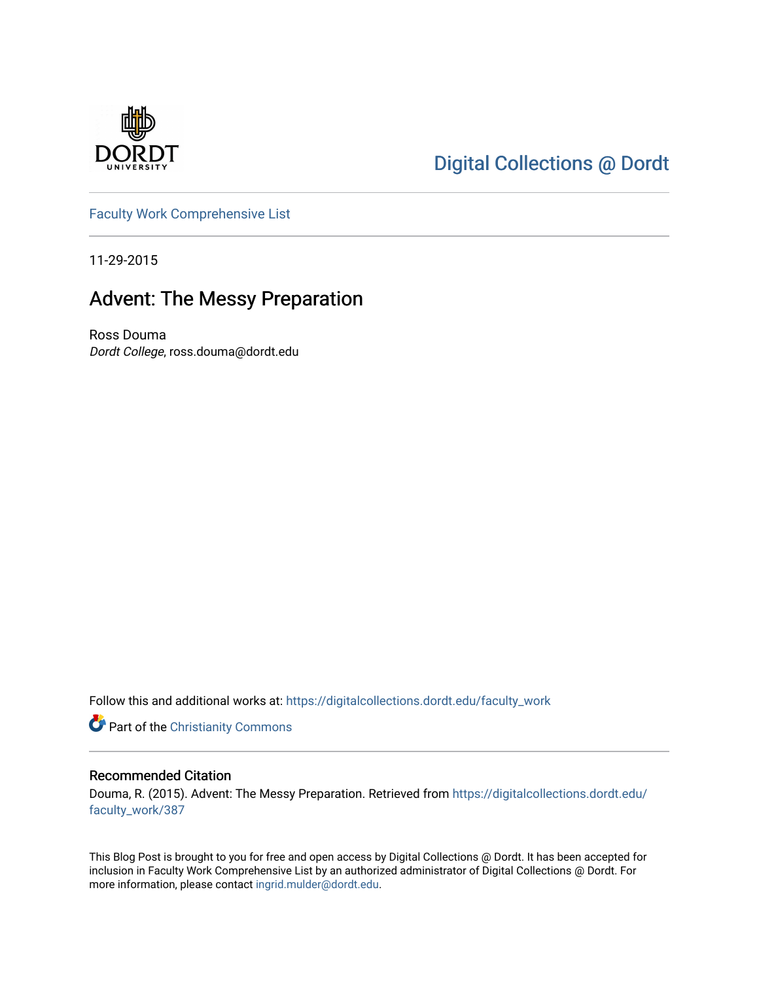

## [Digital Collections @ Dordt](https://digitalcollections.dordt.edu/)

[Faculty Work Comprehensive List](https://digitalcollections.dordt.edu/faculty_work)

11-29-2015

## Advent: The Messy Preparation

Ross Douma Dordt College, ross.douma@dordt.edu

Follow this and additional works at: [https://digitalcollections.dordt.edu/faculty\\_work](https://digitalcollections.dordt.edu/faculty_work?utm_source=digitalcollections.dordt.edu%2Ffaculty_work%2F387&utm_medium=PDF&utm_campaign=PDFCoverPages) 

Part of the [Christianity Commons](http://network.bepress.com/hgg/discipline/1181?utm_source=digitalcollections.dordt.edu%2Ffaculty_work%2F387&utm_medium=PDF&utm_campaign=PDFCoverPages) 

#### Recommended Citation

Douma, R. (2015). Advent: The Messy Preparation. Retrieved from [https://digitalcollections.dordt.edu/](https://digitalcollections.dordt.edu/faculty_work/387?utm_source=digitalcollections.dordt.edu%2Ffaculty_work%2F387&utm_medium=PDF&utm_campaign=PDFCoverPages) [faculty\\_work/387](https://digitalcollections.dordt.edu/faculty_work/387?utm_source=digitalcollections.dordt.edu%2Ffaculty_work%2F387&utm_medium=PDF&utm_campaign=PDFCoverPages)

This Blog Post is brought to you for free and open access by Digital Collections @ Dordt. It has been accepted for inclusion in Faculty Work Comprehensive List by an authorized administrator of Digital Collections @ Dordt. For more information, please contact [ingrid.mulder@dordt.edu.](mailto:ingrid.mulder@dordt.edu)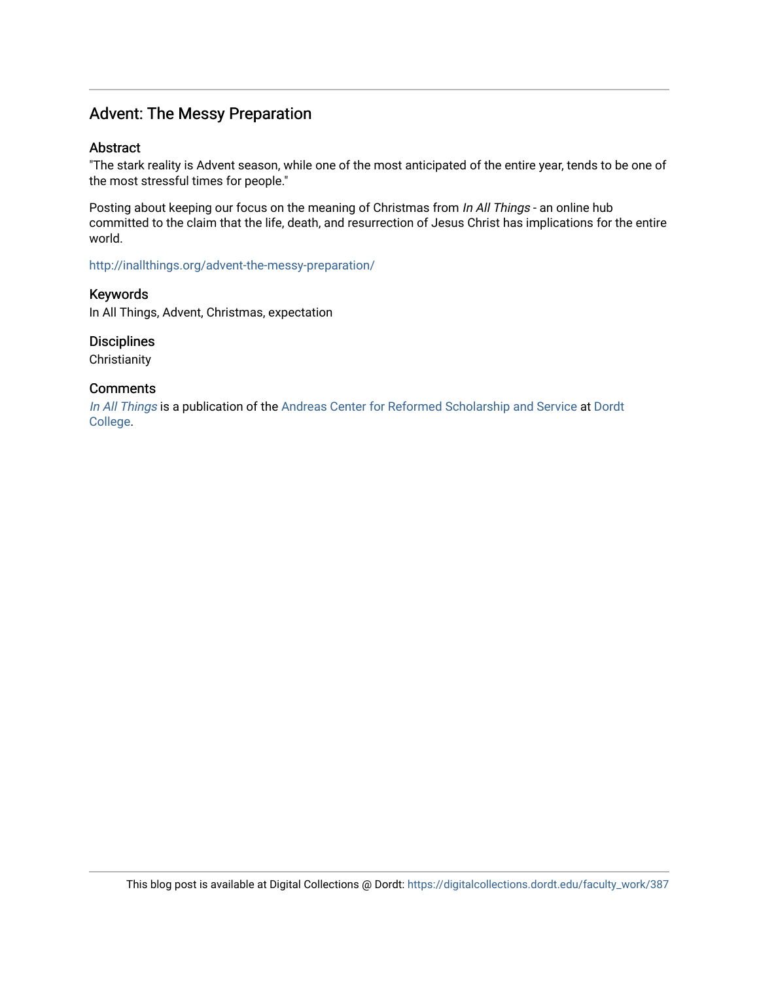### Advent: The Messy Preparation

#### Abstract

"The stark reality is Advent season, while one of the most anticipated of the entire year, tends to be one of the most stressful times for people."

Posting about keeping our focus on the meaning of Christmas from In All Things - an online hub committed to the claim that the life, death, and resurrection of Jesus Christ has implications for the entire world.

<http://inallthings.org/advent-the-messy-preparation/>

Keywords In All Things, Advent, Christmas, expectation

**Disciplines** 

**Christianity** 

#### **Comments**

[In All Things](http://inallthings.org/) is a publication of the [Andreas Center for Reformed Scholarship and Service](http://www.dordt.edu/services_support/andreas_center/) at Dordt [College](http://www.dordt.edu/).